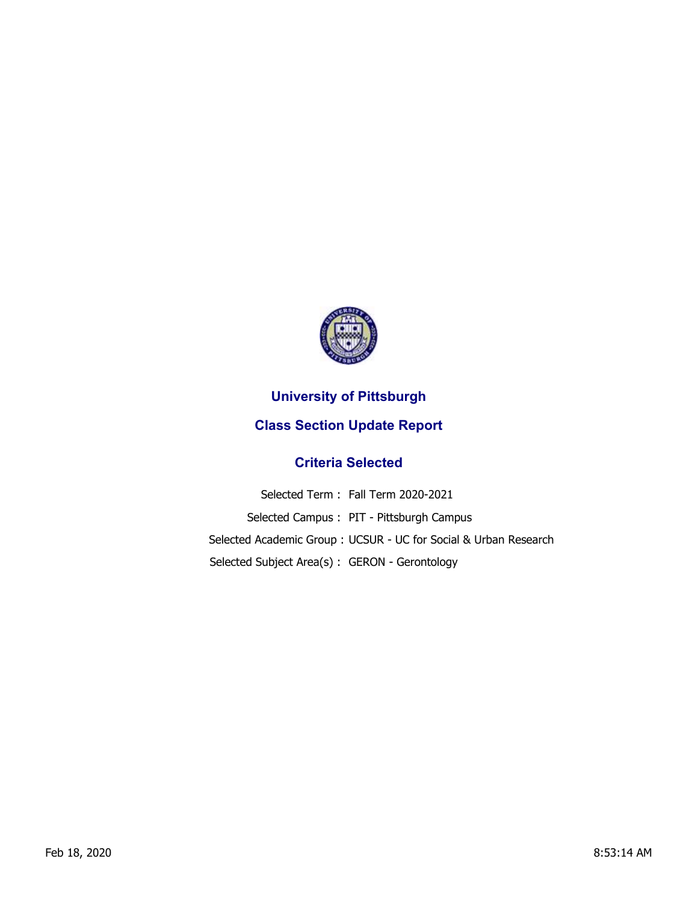

## **University of Pittsburgh**

## **Class Section Update Report**

## **Criteria Selected**

Selected Term : Fall Term 2020-2021 Selected Campus : PIT - Pittsburgh Campus Selected Academic Group : UCSUR - UC for Social & Urban Research Selected Subject Area(s) : GERON - Gerontology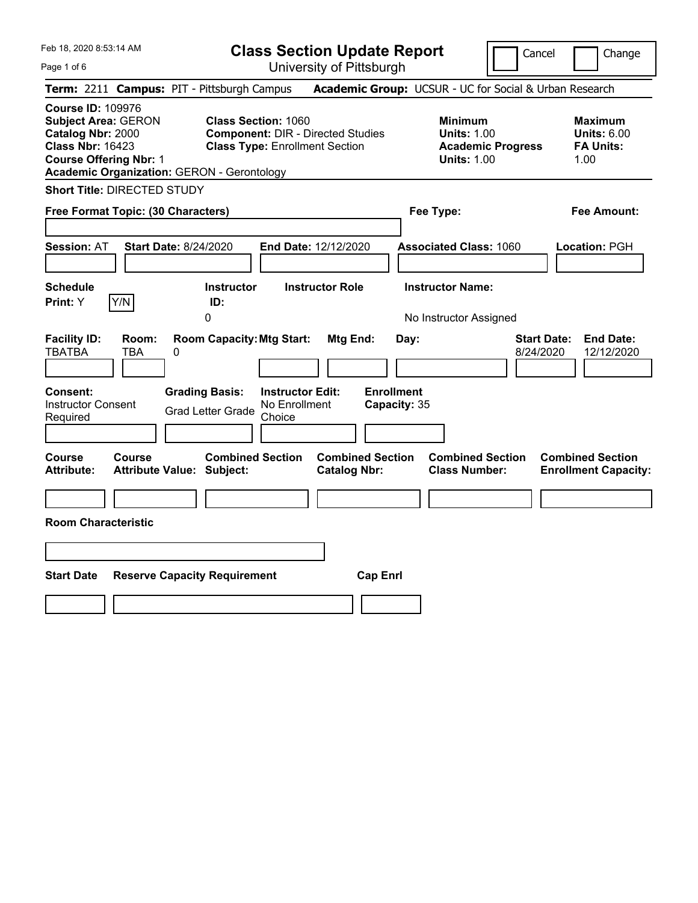**Class Section Update Report**

Cancel **Change** 

| Page 1 of 6                                                                                                                                                                                  |                                                                                                                                                                                                                 | University of Pittsburgh                                                                                |                                                                                        |                                                                                                                             |
|----------------------------------------------------------------------------------------------------------------------------------------------------------------------------------------------|-----------------------------------------------------------------------------------------------------------------------------------------------------------------------------------------------------------------|---------------------------------------------------------------------------------------------------------|----------------------------------------------------------------------------------------|-----------------------------------------------------------------------------------------------------------------------------|
| Term: 2211 Campus: PIT - Pittsburgh Campus                                                                                                                                                   |                                                                                                                                                                                                                 |                                                                                                         | Academic Group: UCSUR - UC for Social & Urban Research                                 |                                                                                                                             |
| <b>Course ID: 109976</b><br><b>Subject Area: GERON</b><br>Catalog Nbr: 2000<br><b>Class Nbr: 16423</b><br><b>Course Offering Nbr: 1</b><br><b>Academic Organization: GERON - Gerontology</b> | <b>Class Section: 1060</b><br><b>Component: DIR - Directed Studies</b><br><b>Class Type: Enrollment Section</b>                                                                                                 |                                                                                                         | <b>Minimum</b><br><b>Units: 1.00</b><br><b>Academic Progress</b><br><b>Units: 1.00</b> | <b>Maximum</b><br><b>Units: 6.00</b><br><b>FA Units:</b><br>1.00                                                            |
| <b>Short Title: DIRECTED STUDY</b>                                                                                                                                                           |                                                                                                                                                                                                                 |                                                                                                         |                                                                                        |                                                                                                                             |
| Free Format Topic: (30 Characters)                                                                                                                                                           |                                                                                                                                                                                                                 |                                                                                                         | Fee Type:                                                                              | Fee Amount:                                                                                                                 |
|                                                                                                                                                                                              |                                                                                                                                                                                                                 |                                                                                                         |                                                                                        |                                                                                                                             |
| <b>Session: AT</b>                                                                                                                                                                           | <b>Start Date: 8/24/2020</b><br>End Date: 12/12/2020                                                                                                                                                            |                                                                                                         | <b>Associated Class: 1060</b>                                                          | Location: PGH                                                                                                               |
|                                                                                                                                                                                              |                                                                                                                                                                                                                 |                                                                                                         |                                                                                        |                                                                                                                             |
| <b>Schedule</b>                                                                                                                                                                              | <b>Instructor Role</b><br><b>Instructor</b>                                                                                                                                                                     |                                                                                                         | <b>Instructor Name:</b>                                                                |                                                                                                                             |
| Y/N<br>Print: Y                                                                                                                                                                              | ID:<br>0                                                                                                                                                                                                        |                                                                                                         | No Instructor Assigned                                                                 |                                                                                                                             |
| <b>Facility ID:</b><br>Room:<br><b>TBATBA</b><br><b>TBA</b><br>Consent:<br><b>Instructor Consent</b><br>Required<br>Course<br>Course<br><b>Attribute:</b>                                    | <b>Room Capacity: Mtg Start:</b><br>0<br><b>Grading Basis:</b><br><b>Instructor Edit:</b><br>No Enrollment<br><b>Grad Letter Grade</b><br>Choice<br><b>Combined Section</b><br><b>Attribute Value: Subject:</b> | Mtg End:<br>Day:<br><b>Enrollment</b><br>Capacity: 35<br><b>Combined Section</b><br><b>Catalog Nbr:</b> | <b>Combined Section</b><br><b>Class Number:</b>                                        | <b>Start Date:</b><br><b>End Date:</b><br>12/12/2020<br>8/24/2020<br><b>Combined Section</b><br><b>Enrollment Capacity:</b> |
| <b>Room Characteristic</b>                                                                                                                                                                   |                                                                                                                                                                                                                 |                                                                                                         |                                                                                        |                                                                                                                             |
|                                                                                                                                                                                              |                                                                                                                                                                                                                 |                                                                                                         |                                                                                        |                                                                                                                             |
| <b>Start Date</b><br><b>Reserve Capacity Requirement</b><br><b>Cap Enrl</b>                                                                                                                  |                                                                                                                                                                                                                 |                                                                                                         |                                                                                        |                                                                                                                             |
|                                                                                                                                                                                              |                                                                                                                                                                                                                 |                                                                                                         |                                                                                        |                                                                                                                             |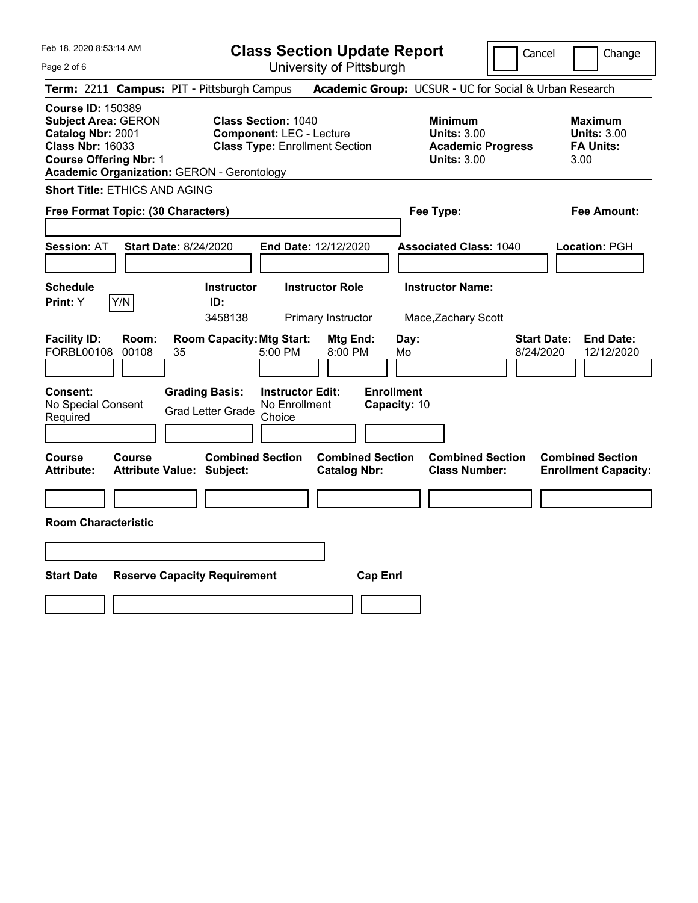**Class Section Update Report**

Cancel **Change** 

| Page 2 of 6                                                                                                                                                                                  | University of Pittsburgh                                                                                |                                                                                        |                                                                   |  |  |
|----------------------------------------------------------------------------------------------------------------------------------------------------------------------------------------------|---------------------------------------------------------------------------------------------------------|----------------------------------------------------------------------------------------|-------------------------------------------------------------------|--|--|
| Term: 2211 Campus: PIT - Pittsburgh Campus                                                                                                                                                   |                                                                                                         | Academic Group: UCSUR - UC for Social & Urban Research                                 |                                                                   |  |  |
| <b>Course ID: 150389</b><br><b>Subject Area: GERON</b><br>Catalog Nbr: 2001<br><b>Class Nbr: 16033</b><br><b>Course Offering Nbr: 1</b><br><b>Academic Organization: GERON - Gerontology</b> | <b>Class Section: 1040</b><br><b>Component: LEC - Lecture</b><br><b>Class Type: Enrollment Section</b>  | <b>Minimum</b><br><b>Units: 3.00</b><br><b>Academic Progress</b><br><b>Units: 3.00</b> | <b>Maximum</b><br><b>Units: 3.00</b><br><b>FA Units:</b><br>3.00  |  |  |
|                                                                                                                                                                                              | <b>Short Title: ETHICS AND AGING</b>                                                                    |                                                                                        |                                                                   |  |  |
| Free Format Topic: (30 Characters)                                                                                                                                                           |                                                                                                         | Fee Type:                                                                              | Fee Amount:                                                       |  |  |
| <b>Start Date: 8/24/2020</b><br><b>Session: AT</b>                                                                                                                                           | End Date: 12/12/2020                                                                                    | <b>Associated Class: 1040</b>                                                          | Location: PGH                                                     |  |  |
| <b>Schedule</b><br>Y/N<br>Print: Y                                                                                                                                                           | <b>Instructor Role</b><br><b>Instructor</b><br>ID:<br>3458138<br>Primary Instructor                     | <b>Instructor Name:</b><br>Mace, Zachary Scott                                         |                                                                   |  |  |
| <b>Facility ID:</b><br>Room:<br>FORBL00108<br>00108<br>35                                                                                                                                    | <b>Room Capacity: Mtg Start:</b><br>Mtg End:<br>5:00 PM<br>8:00 PM                                      | Day:<br>Mo                                                                             | <b>Start Date:</b><br><b>End Date:</b><br>8/24/2020<br>12/12/2020 |  |  |
| <b>Consent:</b><br>No Special Consent<br>Required                                                                                                                                            | <b>Grading Basis:</b><br><b>Instructor Edit:</b><br>No Enrollment<br><b>Grad Letter Grade</b><br>Choice | <b>Enrollment</b><br>Capacity: 10                                                      |                                                                   |  |  |
| Course<br>Course<br>Attribute:<br><b>Attribute Value: Subject:</b>                                                                                                                           | <b>Combined Section</b><br><b>Combined Section</b><br><b>Catalog Nbr:</b>                               | <b>Combined Section</b><br><b>Class Number:</b>                                        | <b>Combined Section</b><br><b>Enrollment Capacity:</b>            |  |  |
|                                                                                                                                                                                              |                                                                                                         |                                                                                        |                                                                   |  |  |
| <b>Room Characteristic</b>                                                                                                                                                                   |                                                                                                         |                                                                                        |                                                                   |  |  |
|                                                                                                                                                                                              |                                                                                                         |                                                                                        |                                                                   |  |  |
| <b>Start Date</b><br><b>Cap Enrl</b><br><b>Reserve Capacity Requirement</b>                                                                                                                  |                                                                                                         |                                                                                        |                                                                   |  |  |
|                                                                                                                                                                                              |                                                                                                         |                                                                                        |                                                                   |  |  |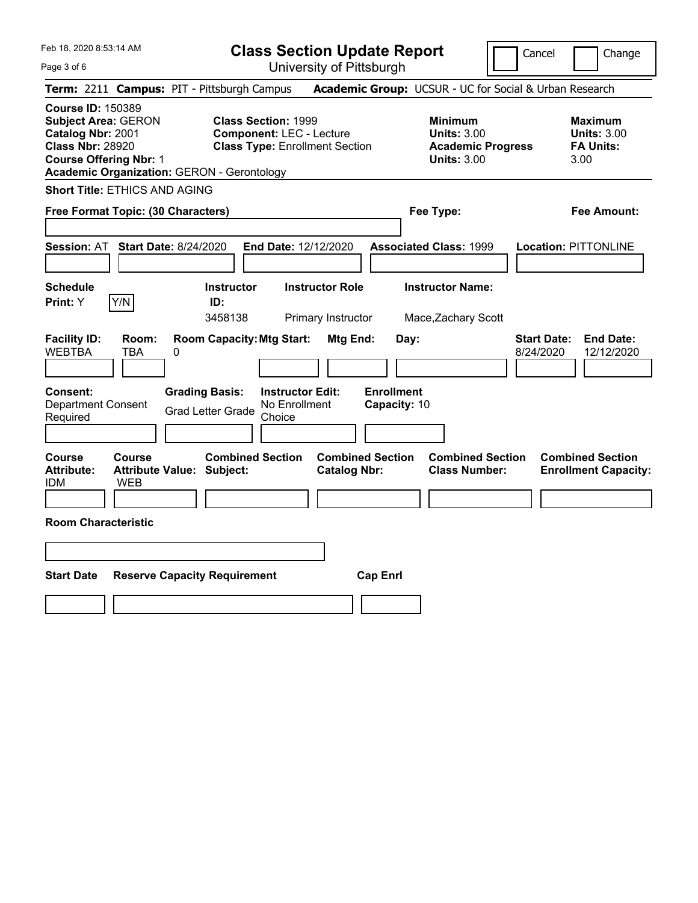Page 3 of 6

**Class Section Update Report**

Cancel **Change** 

University of Pittsburgh

| Term: 2211 Campus: PIT - Pittsburgh Campus                                                                                                                                                   |                                                                                                         |                                                | Academic Group: UCSUR - UC for Social & Urban Research                                 |                                                                   |
|----------------------------------------------------------------------------------------------------------------------------------------------------------------------------------------------|---------------------------------------------------------------------------------------------------------|------------------------------------------------|----------------------------------------------------------------------------------------|-------------------------------------------------------------------|
| <b>Course ID: 150389</b><br><b>Subject Area: GERON</b><br>Catalog Nbr: 2001<br><b>Class Nbr: 28920</b><br><b>Course Offering Nbr: 1</b><br><b>Academic Organization: GERON - Gerontology</b> | <b>Class Section: 1999</b><br><b>Component: LEC - Lecture</b><br><b>Class Type: Enrollment Section</b>  |                                                | <b>Minimum</b><br><b>Units: 3.00</b><br><b>Academic Progress</b><br><b>Units: 3.00</b> | Maximum<br><b>Units: 3.00</b><br><b>FA Units:</b><br>3.00         |
| <b>Short Title: ETHICS AND AGING</b>                                                                                                                                                         |                                                                                                         |                                                |                                                                                        |                                                                   |
| Free Format Topic: (30 Characters)                                                                                                                                                           |                                                                                                         |                                                | Fee Type:                                                                              | <b>Fee Amount:</b>                                                |
| <b>Session: AT</b><br><b>Start Date: 8/24/2020</b>                                                                                                                                           | End Date: 12/12/2020                                                                                    |                                                | <b>Associated Class: 1999</b>                                                          | Location: PITTONLINE                                              |
| <b>Schedule</b><br>Y/N<br>Print: Y                                                                                                                                                           | <b>Instructor</b><br>ID:<br>3458138                                                                     | <b>Instructor Role</b><br>Primary Instructor   | <b>Instructor Name:</b><br>Mace, Zachary Scott                                         |                                                                   |
| <b>Facility ID:</b><br>Room:<br><b>WEBTBA</b><br><b>TBA</b><br>0                                                                                                                             | <b>Room Capacity: Mtg Start:</b>                                                                        | Mtg End:                                       | Day:                                                                                   | <b>Start Date:</b><br><b>End Date:</b><br>8/24/2020<br>12/12/2020 |
| <b>Consent:</b><br><b>Department Consent</b><br>Required                                                                                                                                     | <b>Grading Basis:</b><br><b>Instructor Edit:</b><br>No Enrollment<br><b>Grad Letter Grade</b><br>Choice | <b>Enrollment</b><br>Capacity: 10              |                                                                                        |                                                                   |
| <b>Course</b><br><b>Course</b><br><b>Attribute:</b><br><b>Attribute Value: Subject:</b><br>WEB<br>idm                                                                                        | <b>Combined Section</b>                                                                                 | <b>Combined Section</b><br><b>Catalog Nbr:</b> | <b>Combined Section</b><br><b>Class Number:</b>                                        | <b>Combined Section</b><br><b>Enrollment Capacity:</b>            |
| <b>Room Characteristic</b>                                                                                                                                                                   |                                                                                                         |                                                |                                                                                        |                                                                   |
|                                                                                                                                                                                              |                                                                                                         |                                                |                                                                                        |                                                                   |
| <b>Start Date</b><br><b>Reserve Capacity Requirement</b><br><b>Cap Enrl</b>                                                                                                                  |                                                                                                         |                                                |                                                                                        |                                                                   |
|                                                                                                                                                                                              |                                                                                                         |                                                |                                                                                        |                                                                   |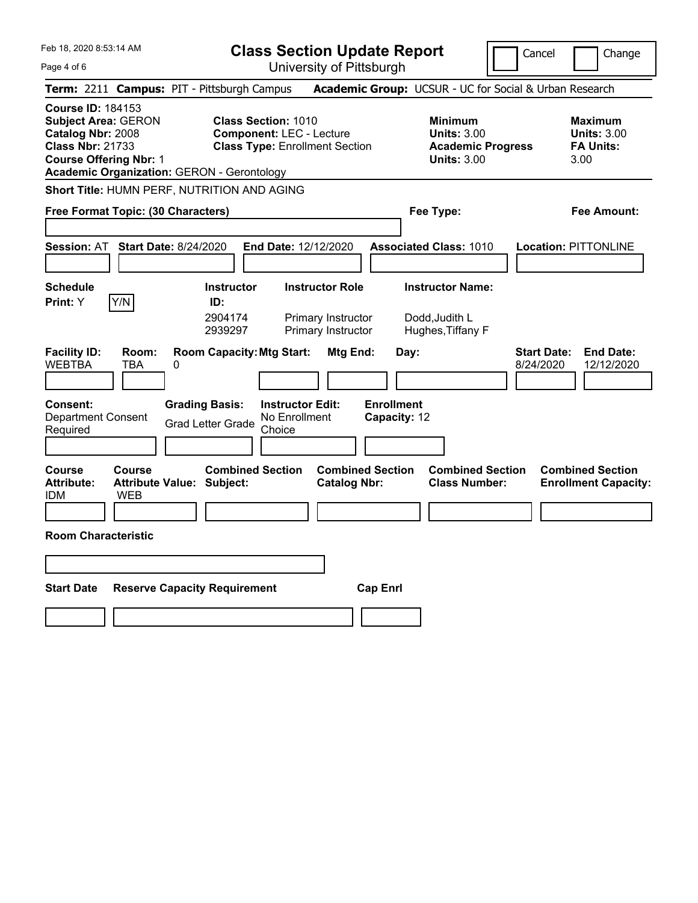**Class Section Update Report**

Cancel Change

Page 4 of 6

University of Pittsburgh **Term:** 2211 **Campus:** PIT - Pittsburgh Campus **Academic Group:** UCSUR - UC for Social & Urban Research **Course ID:** 184153 **Subject Area:** GERON **Class Section:** 1010 **Minimum Maximum Catalog Nbr:** 2008 **Component:** LEC - Lecture **Units:** 3.00 **Units:** 3.00 **Class Nbr:** 21733 **Class Type:** Enrollment Section **Academic Progress FA Units: Course Offering Nbr:** 1 **Units:** 3.00 3.00 **Academic Organization:** GERON - Gerontology **Short Title:** HUMN PERF, NUTRITION AND AGING **Free Format Topic: (30 Characters) Fee Type: Fee Amount: Session:** AT **Start Date:** 8/24/2020 **End Date:** 12/12/2020 **Associated Class:** 1010 **Location:** PITTONLINE **Schedule Instructor Instructor Role Instructor Name: Print:**  $Y$   $|Y/N|$  **ID:** 2904174 Primary Instructor Dodd,Judith L 2939297 Primary Instructor Hughes,Tiffany F **Facility ID: Room: Room Capacity:Mtg Start: Mtg End: Day: Start Date: End Date:** WEBTBA TBA 0 8/24/2020 12/12/2020 **Consent: Grading Basis: Instructor Edit: Enrollment** Department Consent Required Grad Letter Grade No Enrollment Choice **Capacity:** 12 **Course Course Combined Section Combined Section Combined Section Combined Section**  Attribute: Attribute Value: Subject: Catalog Nbr: Class Number: Enrollment Capacity: IDM WEB **Room Characteristic Start Date Reserve Capacity Requirement Cap Enrl**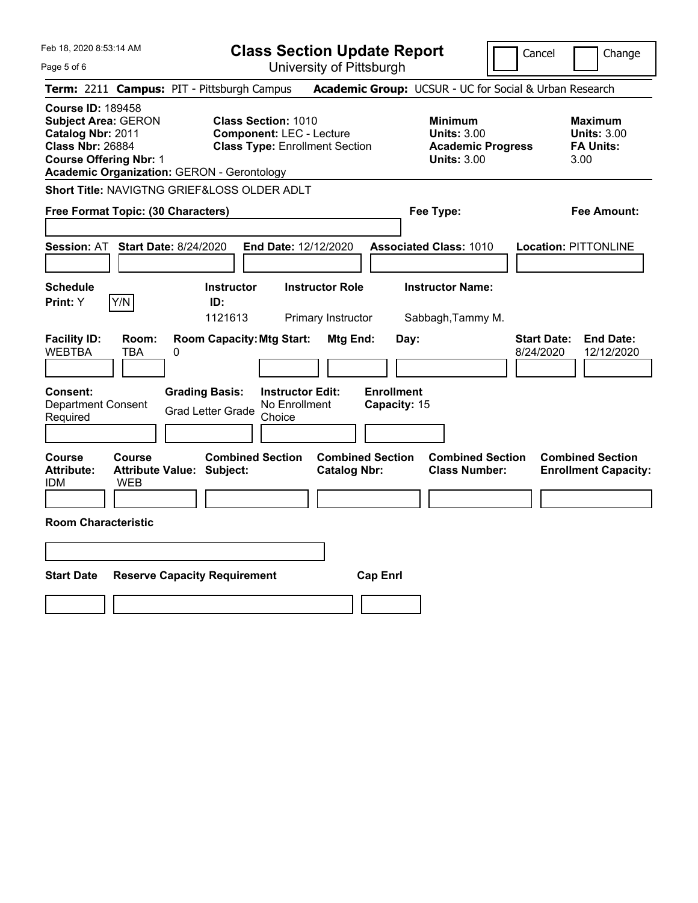| Feb 18, 2020 8:53:14 AM<br>Page 5 of 6                                                                                                                                                       | <b>Class Section Update Report</b><br>University of Pittsburgh                                         |                                                                                   | Cancel<br>Change                                                  |  |
|----------------------------------------------------------------------------------------------------------------------------------------------------------------------------------------------|--------------------------------------------------------------------------------------------------------|-----------------------------------------------------------------------------------|-------------------------------------------------------------------|--|
| Term: 2211 Campus: PIT - Pittsburgh Campus                                                                                                                                                   |                                                                                                        | Academic Group: UCSUR - UC for Social & Urban Research                            |                                                                   |  |
| <b>Course ID: 189458</b><br><b>Subject Area: GERON</b><br>Catalog Nbr: 2011<br><b>Class Nbr: 26884</b><br><b>Course Offering Nbr: 1</b><br><b>Academic Organization: GERON - Gerontology</b> | <b>Class Section: 1010</b><br><b>Component: LEC - Lecture</b><br><b>Class Type: Enrollment Section</b> | <b>Minimum</b><br>Units: $3.00$<br><b>Academic Progress</b><br><b>Units: 3.00</b> | <b>Maximum</b><br><b>Units: 3.00</b><br><b>FA Units:</b><br>3.00  |  |
| <b>Short Title: NAVIGTNG GRIEF&amp;LOSS OLDER ADLT</b>                                                                                                                                       |                                                                                                        |                                                                                   |                                                                   |  |
| Free Format Topic: (30 Characters)                                                                                                                                                           |                                                                                                        | Fee Type:                                                                         | Fee Amount:                                                       |  |
| <b>Session: AT</b><br><b>Start Date: 8/24/2020</b>                                                                                                                                           | End Date: 12/12/2020                                                                                   | <b>Associated Class: 1010</b>                                                     | <b>Location: PITTONLINE</b>                                       |  |
| <b>Schedule</b>                                                                                                                                                                              | <b>Instructor Role</b><br><b>Instructor</b>                                                            | <b>Instructor Name:</b>                                                           |                                                                   |  |
| Print: Y<br>Y/N<br>ID:                                                                                                                                                                       |                                                                                                        |                                                                                   |                                                                   |  |
|                                                                                                                                                                                              | 1121613<br>Primary Instructor                                                                          | Sabbagh, Tammy M.                                                                 |                                                                   |  |
| <b>Facility ID:</b><br>Room:<br><b>WEBTBA</b><br>TBA<br>0                                                                                                                                    | <b>Room Capacity: Mtg Start:</b><br>Mtg End:                                                           | Day:                                                                              | <b>Start Date:</b><br><b>End Date:</b><br>8/24/2020<br>12/12/2020 |  |
| <b>Grading Basis:</b><br>Consent:<br><b>Department Consent</b><br><b>Grad Letter Grade</b><br>Required                                                                                       | <b>Instructor Edit:</b><br>No Enrollment<br>Choice                                                     | <b>Enrollment</b><br>Capacity: 15                                                 |                                                                   |  |
| <b>Course</b><br><b>Course</b><br><b>Attribute:</b><br><b>Attribute Value: Subject:</b><br><b>IDM</b><br>WEB                                                                                 | <b>Combined Section</b><br><b>Combined Section</b><br><b>Catalog Nbr:</b>                              | <b>Combined Section</b><br><b>Class Number:</b>                                   | <b>Combined Section</b><br><b>Enrollment Capacity:</b>            |  |
|                                                                                                                                                                                              |                                                                                                        |                                                                                   |                                                                   |  |
| <b>Room Characteristic</b>                                                                                                                                                                   |                                                                                                        |                                                                                   |                                                                   |  |
|                                                                                                                                                                                              |                                                                                                        |                                                                                   |                                                                   |  |
| <b>Start Date</b><br><b>Reserve Capacity Requirement</b><br><b>Cap Enrl</b>                                                                                                                  |                                                                                                        |                                                                                   |                                                                   |  |
|                                                                                                                                                                                              |                                                                                                        |                                                                                   |                                                                   |  |